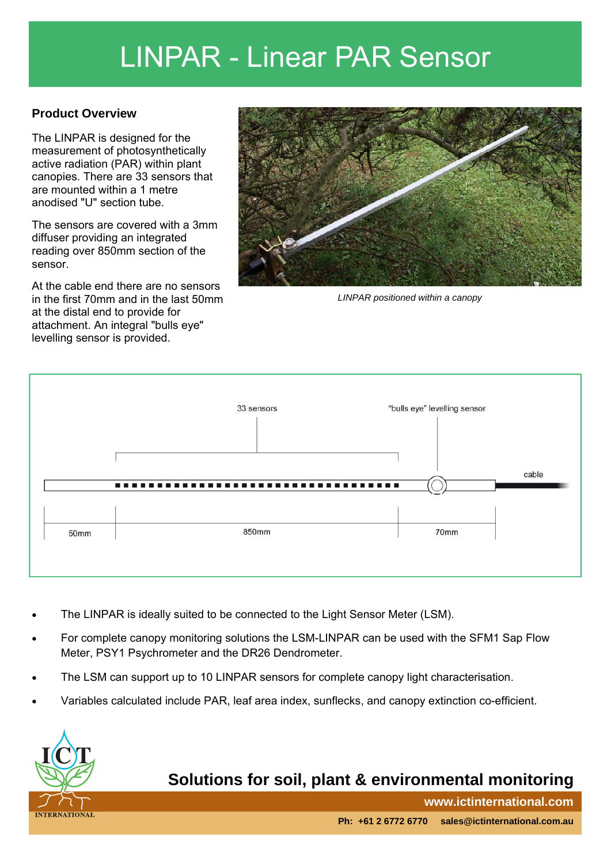## LINPAR - Linear PAR Sensor

#### **Product Overview**

The LINPAR is designed for the measurement of photosynthetically active radiation (PAR) within plant canopies. There are 33 sensors that are mounted within a 1 metre anodised "U" section tube.

The sensors are covered with a 3mm diffuser providing an integrated reading over 850mm section of the sensor.

At the cable end there are no sensors in the first 70mm and in the last 50mm at the distal end to provide for attachment. An integral "bulls eye" levelling sensor is provided.



*LINPAR positioned within a canopy* 



- The LINPAR is ideally suited to be connected to the Light Sensor Meter (LSM).
- For complete canopy monitoring solutions the LSM-LINPAR can be used with the SFM1 Sap Flow Meter, PSY1 Psychrometer and the DR26 Dendrometer.
- The LSM can support up to 10 LINPAR sensors for complete canopy light characterisation.
- Variables calculated include PAR, leaf area index, sunflecks, and canopy extinction co-efficient.



### **Solutions for soil, plant & environmental monitoring**

**www.ictinternational.com**